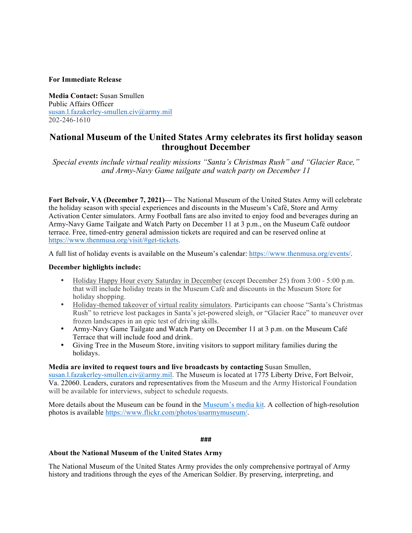## **For Immediate Release**

**Media Contact:** Susan Smullen Public Affairs Officer susan.l.fazakerley-smullen.civ@army.mil 202-246-1610

# **National Museum of the United States Army celebrates its first holiday season throughout December**

*Special events include virtual reality missions "Santa's Christmas Rush" and "Glacier Race," and Army-Navy Game tailgate and watch party on December 11*

**Fort Belvoir, VA (December 7, 2021)—** The National Museum of the United States Army will celebrate the holiday season with special experiences and discounts in the Museum's Café, Store and Army Activation Center simulators. Army Football fans are also invited to enjoy food and beverages during an Army-Navy Game Tailgate and Watch Party on December 11 at 3 p.m., on the Museum Café outdoor terrace. Free, timed-entry general admission tickets are required and can be reserved online at https://www.thenmusa.org/visit/#get-tickets.

A full list of holiday events is available on the Museum's calendar: https://www.thenmusa.org/events/.

### **December highlights include:**

- Holiday Happy Hour every Saturday in December (except December 25) from 3:00 5:00 p.m. that will include holiday treats in the Museum Café and discounts in the Museum Store for holiday shopping.
- Holiday-themed takeover of virtual reality simulators. Participants can choose "Santa's Christmas Rush" to retrieve lost packages in Santa's jet-powered sleigh, or "Glacier Race" to maneuver over frozen landscapes in an epic test of driving skills.
- Army-Navy Game Tailgate and Watch Party on December 11 at 3 p.m. on the Museum Café Terrace that will include food and drink.
- Giving Tree in the Museum Store, inviting visitors to support military families during the holidays.

#### **Media are invited to request tours and live broadcasts by contacting** Susan Smullen,

susan.l.fazakerley-smullen.civ@army.mil. The Museum is located at 1775 Liberty Drive, Fort Belvoir, Va. 22060. Leaders, curators and representatives from the Museum and the Army Historical Foundation will be available for interviews, subject to schedule requests.

More details about the Museum can be found in the Museum's media kit. A collection of high-resolution photos is available https://www.flickr.com/photos/usarmymuseum/.

**###**

#### **About the National Museum of the United States Army**

The National Museum of the United States Army provides the only comprehensive portrayal of Army history and traditions through the eyes of the American Soldier. By preserving, interpreting, and